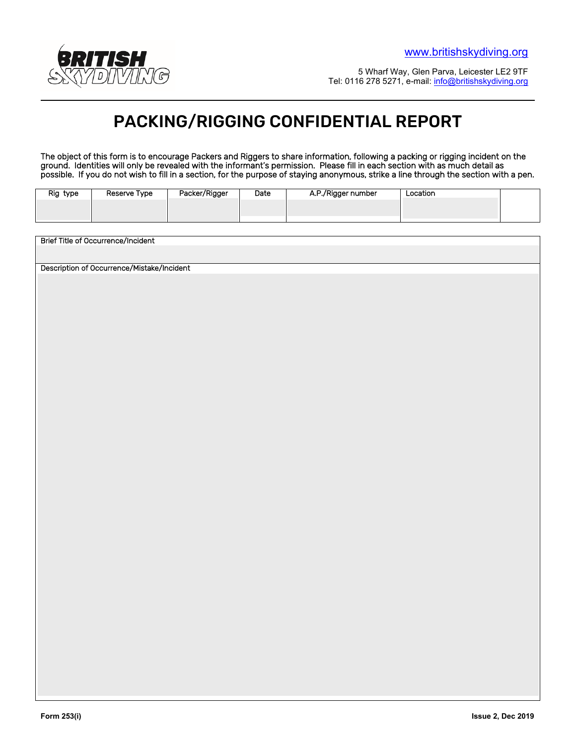

5 Wharf Way, Glen Parva, Leicester LE2 9TF Tel: 0116 278 5271, e-mail: info@britishskydiving.org

## PACKING/RIGGING CONFIDENTIAL REPORT

The object of this form is to encourage Packers and Riggers to share information, following a packing or rigging incident on the ground. Identities will only be revealed with the informant's permission. Please fill in each section with as much detail as possible. If you do not wish to fill in a section, for the purpose of staying anonymous, strike a line through the section with a pen.

| Rig type | Reserve Type | Packer/Rigger | Date | A.P./Rigger number | Location |  |
|----------|--------------|---------------|------|--------------------|----------|--|
|          |              |               |      |                    |          |  |
|          |              |               |      |                    |          |  |
|          |              |               |      |                    |          |  |

Brief Title of Occurrence/Incident Description of Occurrence/Mistake/Incident